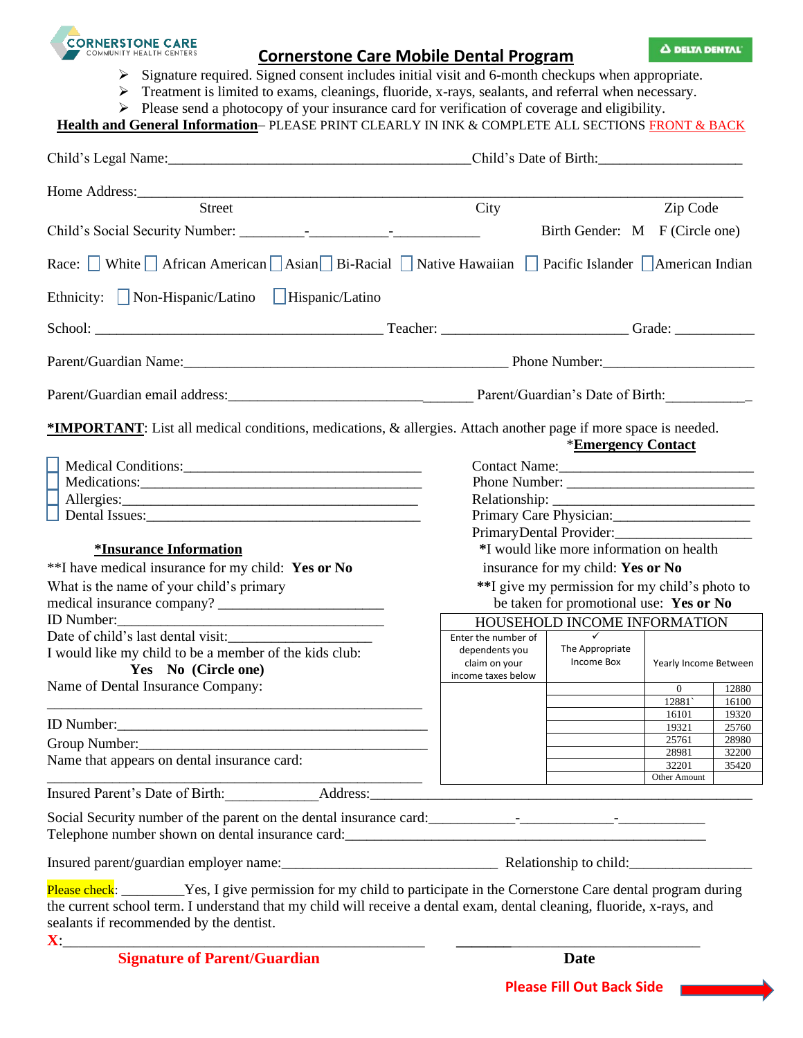

# **Cornerstone Care Mobile Dental Program**

Δ DELTA DENTAL

- ➢ Signature required. Signed consent includes initial visit and 6-month checkups when appropriate.
- ➢ Treatment is limited to exams, cleanings, fluoride, x-rays, sealants, and referral when necessary.
- ➢ Please send a photocopy of your insurance card for verification of coverage and eligibility.

# Health and General Information-PLEASE PRINT CLEARLY IN INK & COMPLETE ALL SECTIONS FRONT & BACK

|                                                                                                                                                                                                                                                                                                                                                                                                                                                                                                                                                  |                                                                                             | Child's Date of Birth:                                                 |                |                |  |
|--------------------------------------------------------------------------------------------------------------------------------------------------------------------------------------------------------------------------------------------------------------------------------------------------------------------------------------------------------------------------------------------------------------------------------------------------------------------------------------------------------------------------------------------------|---------------------------------------------------------------------------------------------|------------------------------------------------------------------------|----------------|----------------|--|
|                                                                                                                                                                                                                                                                                                                                                                                                                                                                                                                                                  |                                                                                             |                                                                        |                |                |  |
| Street                                                                                                                                                                                                                                                                                                                                                                                                                                                                                                                                           | City                                                                                        |                                                                        | Zip Code       |                |  |
|                                                                                                                                                                                                                                                                                                                                                                                                                                                                                                                                                  |                                                                                             | Birth Gender: M F (Circle one)                                         |                |                |  |
| Race: White African American Asian Bi-Racial Native Hawaiian Pacific Islander American Indian                                                                                                                                                                                                                                                                                                                                                                                                                                                    |                                                                                             |                                                                        |                |                |  |
| Ethnicity: Non-Hispanic/Latino Hispanic/Latino                                                                                                                                                                                                                                                                                                                                                                                                                                                                                                   |                                                                                             |                                                                        |                |                |  |
|                                                                                                                                                                                                                                                                                                                                                                                                                                                                                                                                                  |                                                                                             |                                                                        |                |                |  |
|                                                                                                                                                                                                                                                                                                                                                                                                                                                                                                                                                  | Parent/Guardian Name: 1990 Manual Communication of Phone Number: 2008. [2013] Phone Number: |                                                                        |                |                |  |
|                                                                                                                                                                                                                                                                                                                                                                                                                                                                                                                                                  |                                                                                             |                                                                        |                |                |  |
| *IMPORTANT: List all medical conditions, medications, & allergies. Attach another page if more space is needed.<br><b>*Emergency Contact</b><br>Contact Name:<br>Primary Care Physician:<br>*I would like more information on health<br>*Insurance Information<br>**I have medical insurance for my child: Yes or No<br>insurance for my child: Yes or No<br>What is the name of your child's primary<br>**I give my permission for my child's photo to<br>be taken for promotional use: Yes or No<br>ID Number:<br>HOUSEHOLD INCOME INFORMATION |                                                                                             |                                                                        |                |                |  |
| I would like my child to be a member of the kids club:<br>Yes No (Circle one)                                                                                                                                                                                                                                                                                                                                                                                                                                                                    | Enter the number of<br>dependents you<br>claim on your<br>income taxes below                | $\checkmark$<br>The Appropriate<br>Income Box<br>Yearly Income Between |                |                |  |
| Name of Dental Insurance Company:                                                                                                                                                                                                                                                                                                                                                                                                                                                                                                                |                                                                                             |                                                                        | $\overline{0}$ | 12880          |  |
|                                                                                                                                                                                                                                                                                                                                                                                                                                                                                                                                                  |                                                                                             |                                                                        | 12881<br>16101 | 16100<br>19320 |  |
|                                                                                                                                                                                                                                                                                                                                                                                                                                                                                                                                                  |                                                                                             |                                                                        | 19321          | 25760          |  |
| Group Number:                                                                                                                                                                                                                                                                                                                                                                                                                                                                                                                                    |                                                                                             |                                                                        | 25761          | 28980          |  |
| Name that appears on dental insurance card:                                                                                                                                                                                                                                                                                                                                                                                                                                                                                                      |                                                                                             |                                                                        | 28981<br>32201 | 32200<br>35420 |  |
|                                                                                                                                                                                                                                                                                                                                                                                                                                                                                                                                                  |                                                                                             |                                                                        | Other Amount   |                |  |
| Insured Parent's Date of Birth: Address: Address: Address: Address: Address: Address: Address: Address: Address: Address: Address: Address: Address: Address: Address: Address: Address: Address: Address: Address: Address: A                                                                                                                                                                                                                                                                                                                   |                                                                                             |                                                                        |                |                |  |
|                                                                                                                                                                                                                                                                                                                                                                                                                                                                                                                                                  |                                                                                             |                                                                        |                |                |  |
|                                                                                                                                                                                                                                                                                                                                                                                                                                                                                                                                                  |                                                                                             |                                                                        |                |                |  |
| Please check: Yes, I give permission for my child to participate in the Cornerstone Care dental program during<br>the current school term. I understand that my child will receive a dental exam, dental cleaning, fluoride, x-rays, and<br>sealants if recommended by the dentist.<br>$\mathbf{X}$ and $\mathbf{X}$ are the set of $\mathbf{X}$ and $\mathbf{X}$ are the set of $\mathbf{X}$ and $\mathbf{X}$ are the set of $\mathbf{X}$                                                                                                       |                                                                                             |                                                                        |                |                |  |
| <b>Signature of Parent/Guardian</b>                                                                                                                                                                                                                                                                                                                                                                                                                                                                                                              |                                                                                             | Date                                                                   |                |                |  |